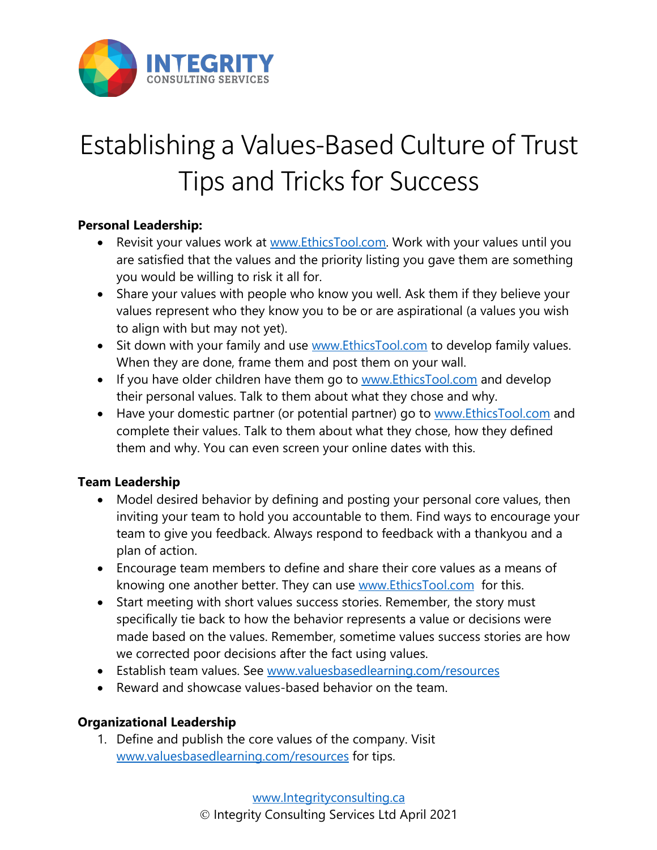

## Establishing a Values-Based Culture of Trust Tips and Tricks for Success

## **Personal Leadership:**

- Revisit your values work at www.EthicsTool.com. Work with your values until you are satisfied that the values and the priority listing you gave them are something you would be willing to risk it all for.
- Share your values with people who know you well. Ask them if they believe your values represent who they know you to be or are aspirational (a values you wish to align with but may not yet).
- Sit down with your family and use www.EthicsTool.com to develop family values. When they are done, frame them and post them on your wall.
- If you have older children have them go to www.EthicsTool.com and develop their personal values. Talk to them about what they chose and why.
- Have your domestic partner (or potential partner) go to www.EthicsTool.com and complete their values. Talk to them about what they chose, how they defined them and why. You can even screen your online dates with this.

## **Team Leadership**

- Model desired behavior by defining and posting your personal core values, then inviting your team to hold you accountable to them. Find ways to encourage your team to give you feedback. Always respond to feedback with a thankyou and a plan of action.
- Encourage team members to define and share their core values as a means of knowing one another better. They can use www.EthicsTool.com for this.
- Start meeting with short values success stories. Remember, the story must specifically tie back to how the behavior represents a value or decisions were made based on the values. Remember, sometime values success stories are how we corrected poor decisions after the fact using values.
- Establish team values. See www.valuesbasedlearning.com/resources
- Reward and showcase values-based behavior on the team.

## **Organizational Leadership**

1. Define and publish the core values of the company. Visit www.valuesbasedlearning.com/resources for tips.